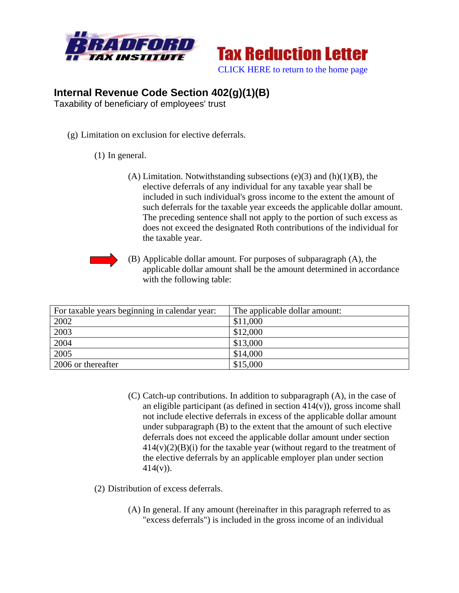



## **Internal Revenue Code Section 402(g)(1)(B)**

Taxability of beneficiary of employees' trust

(g) Limitation on exclusion for elective deferrals.

## (1) In general.

(A) Limitation. Notwithstanding subsections  $(e)(3)$  and  $(h)(1)(B)$ , the elective deferrals of any individual for any taxable year shall be included in such individual's gross income to the extent the amount of such deferrals for the taxable year exceeds the applicable dollar amount. The preceding sentence shall not apply to the portion of such excess as does not exceed the designated Roth contributions of the individual for the taxable year.



(B) Applicable dollar amount. For purposes of subparagraph (A), the applicable dollar amount shall be the amount determined in accordance with the following table:

| For taxable years beginning in calendar year: | The applicable dollar amount: |
|-----------------------------------------------|-------------------------------|
| 2002                                          | \$11,000                      |
| 2003                                          | \$12,000                      |
| 2004                                          | \$13,000                      |
| 2005                                          | \$14,000                      |
| 2006 or thereafter                            | \$15,000                      |

- (C) Catch-up contributions. In addition to subparagraph (A), in the case of an eligible participant (as defined in section  $414(v)$ ), gross income shall not include elective deferrals in excess of the applicable dollar amount under subparagraph (B) to the extent that the amount of such elective deferrals does not exceed the applicable dollar amount under section  $414(v)(2)(B)(i)$  for the taxable year (without regard to the treatment of the elective deferrals by an applicable employer plan under section  $414(v)$ ).
- (2) Distribution of excess deferrals.
	- (A) In general. If any amount (hereinafter in this paragraph referred to as "excess deferrals") is included in the gross income of an individual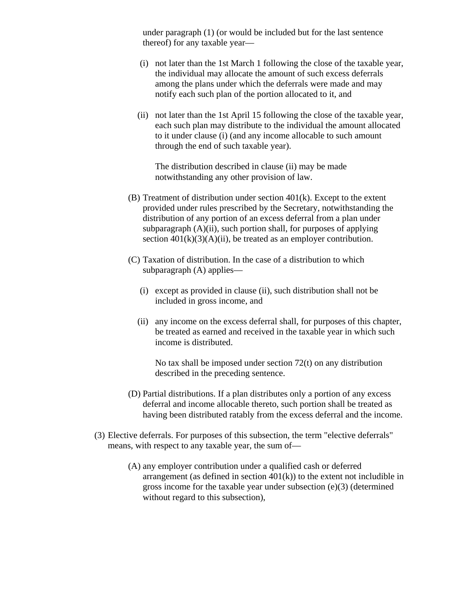under paragraph (1) (or would be included but for the last sentence thereof) for any taxable year—

- (i) not later than the 1st March 1 following the close of the taxable year, the individual may allocate the amount of such excess deferrals among the plans under which the deferrals were made and may notify each such plan of the portion allocated to it, and
- (ii) not later than the 1st April 15 following the close of the taxable year, each such plan may distribute to the individual the amount allocated to it under clause (i) (and any income allocable to such amount through the end of such taxable year).

The distribution described in clause (ii) may be made notwithstanding any other provision of law.

- (B) Treatment of distribution under section 401(k). Except to the extent provided under rules prescribed by the Secretary, notwithstanding the distribution of any portion of an excess deferral from a plan under subparagraph  $(A)(ii)$ , such portion shall, for purposes of applying section  $401(k)(3)(A)(ii)$ , be treated as an employer contribution.
- (C) Taxation of distribution. In the case of a distribution to which subparagraph (A) applies—
	- (i) except as provided in clause (ii), such distribution shall not be included in gross income, and
	- (ii) any income on the excess deferral shall, for purposes of this chapter, be treated as earned and received in the taxable year in which such income is distributed.

No tax shall be imposed under section 72(t) on any distribution described in the preceding sentence.

- (D) Partial distributions. If a plan distributes only a portion of any excess deferral and income allocable thereto, such portion shall be treated as having been distributed ratably from the excess deferral and the income.
- (3) Elective deferrals. For purposes of this subsection, the term "elective deferrals" means, with respect to any taxable year, the sum of—
	- (A) any employer contribution under a qualified cash or deferred arrangement (as defined in section  $401(k)$ ) to the extent not includible in gross income for the taxable year under subsection (e)(3) (determined without regard to this subsection),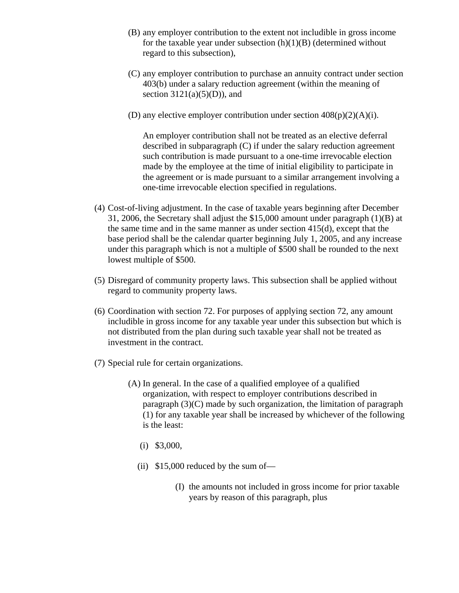- (B) any employer contribution to the extent not includible in gross income for the taxable year under subsection  $(h)(1)(B)$  (determined without regard to this subsection),
- (C) any employer contribution to purchase an annuity contract under section 403(b) under a salary reduction agreement (within the meaning of section  $3121(a)(5)(D)$ , and
- (D) any elective employer contribution under section  $408(p)(2)(A)(i)$ .

An employer contribution shall not be treated as an elective deferral described in subparagraph (C) if under the salary reduction agreement such contribution is made pursuant to a one-time irrevocable election made by the employee at the time of initial eligibility to participate in the agreement or is made pursuant to a similar arrangement involving a one-time irrevocable election specified in regulations.

- (4) Cost-of-living adjustment. In the case of taxable years beginning after December 31, 2006, the Secretary shall adjust the \$15,000 amount under paragraph (1)(B) at the same time and in the same manner as under section 415(d), except that the base period shall be the calendar quarter beginning July 1, 2005, and any increase under this paragraph which is not a multiple of \$500 shall be rounded to the next lowest multiple of \$500.
- (5) Disregard of community property laws. This subsection shall be applied without regard to community property laws.
- (6) Coordination with section 72. For purposes of applying section 72, any amount includible in gross income for any taxable year under this subsection but which is not distributed from the plan during such taxable year shall not be treated as investment in the contract.
- (7) Special rule for certain organizations.
	- (A) In general. In the case of a qualified employee of a qualified organization, with respect to employer contributions described in paragraph (3)(C) made by such organization, the limitation of paragraph (1) for any taxable year shall be increased by whichever of the following is the least:
		- (i) \$3,000,
		- (ii) \$15,000 reduced by the sum of—
			- (I) the amounts not included in gross income for prior taxable years by reason of this paragraph, plus